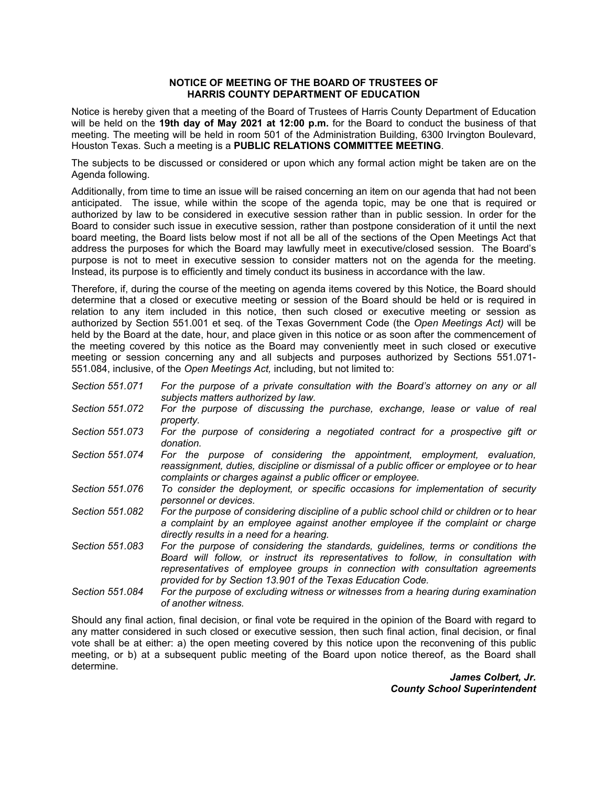## **NOTICE OF MEETING OF THE BOARD OF TRUSTEES OF HARRIS COUNTY DEPARTMENT OF EDUCATION**

Notice is hereby given that a meeting of the Board of Trustees of Harris County Department of Education will be held on the **19th day of May 2021 at 12:00 p.m.** for the Board to conduct the business of that meeting. The meeting will be held in room 501 of the Administration Building, 6300 Irvington Boulevard, Houston Texas. Such a meeting is a **PUBLIC RELATIONS COMMITTEE MEETING**.

The subjects to be discussed or considered or upon which any formal action might be taken are on the Agenda following.

Additionally, from time to time an issue will be raised concerning an item on our agenda that had not been anticipated. The issue, while within the scope of the agenda topic, may be one that is required or authorized by law to be considered in executive session rather than in public session. In order for the Board to consider such issue in executive session, rather than postpone consideration of it until the next board meeting, the Board lists below most if not all be all of the sections of the Open Meetings Act that address the purposes for which the Board may lawfully meet in executive/closed session. The Board's purpose is not to meet in executive session to consider matters not on the agenda for the meeting. Instead, its purpose is to efficiently and timely conduct its business in accordance with the law.

Therefore, if, during the course of the meeting on agenda items covered by this Notice, the Board should determine that a closed or executive meeting or session of the Board should be held or is required in relation to any item included in this notice, then such closed or executive meeting or session as authorized by Section 551.001 et seq. of the Texas Government Code (the *Open Meetings Act)* will be held by the Board at the date, hour, and place given in this notice or as soon after the commencement of the meeting covered by this notice as the Board may conveniently meet in such closed or executive meeting or session concerning any and all subjects and purposes authorized by Sections 551.071- 551.084, inclusive, of the *Open Meetings Act,* including, but not limited to:

- *Section 551.071 For the purpose of a private consultation with the Board's attorney on any or all subjects matters authorized by law.*
- *Section 551.072 For the purpose of discussing the purchase, exchange, lease or value of real property.*
- *Section 551.073 For the purpose of considering a negotiated contract for a prospective gift or donation.*
- *Section 551.074 For the purpose of considering the appointment, employment, evaluation, reassignment, duties, discipline or dismissal of a public officer or employee or to hear complaints or charges against a public officer or employee.*
- *Section 551.076 To consider the deployment, or specific occasions for implementation of security personnel or devices.*
- *Section 551.082 For the purpose of considering discipline of a public school child or children or to hear a complaint by an employee against another employee if the complaint or charge directly results in a need for a hearing.*
- *Section 551.083 For the purpose of considering the standards, guidelines, terms or conditions the Board will follow, or instruct its representatives to follow, in consultation with representatives of employee groups in connection with consultation agreements provided for by Section 13.901 of the Texas Education Code.*
- *Section 551.084 For the purpose of excluding witness or witnesses from a hearing during examination of another witness.*

Should any final action, final decision, or final vote be required in the opinion of the Board with regard to any matter considered in such closed or executive session, then such final action, final decision, or final vote shall be at either: a) the open meeting covered by this notice upon the reconvening of this public meeting, or b) at a subsequent public meeting of the Board upon notice thereof, as the Board shall determine.

> *James Colbert, Jr. County School Superintendent*